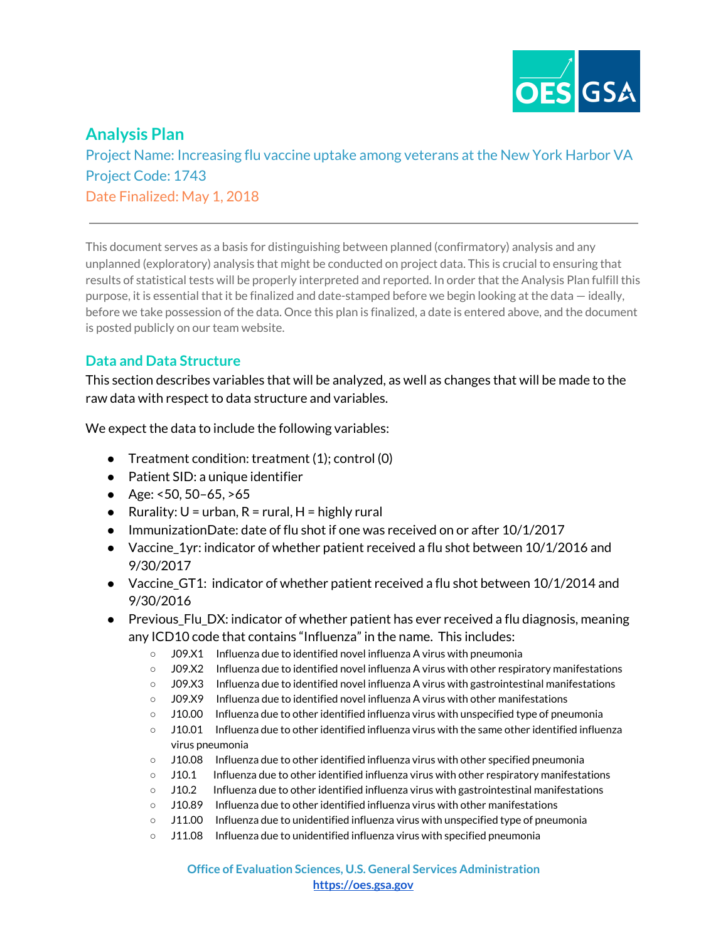

# **Analysis Plan**

Project Name: Increasing flu vaccine uptake among veterans at the New York Harbor VA Project Code: 1743 Date Finalized: May 1, 2018

This document serves as a basis for distinguishing between planned (confirmatory) analysis and any unplanned (exploratory) analysis that might be conducted on project data. This is crucial to ensuring that results of statistical tests will be properly interpreted and reported. In order that the Analysis Plan fulfill this purpose, it is essential that it be finalized and date-stamped before we begin looking at the data — ideally, before we take possession of the data. Once this plan is finalized, a date is entered above, and the document is posted publicly on our team website.

## **Data and Data Structure**

This section describes variables that will be analyzed, as well as changes that will be made to the raw data with respect to data structure and variables.

We expect the data to include the following variables:

- Treatment condition: treatment (1); control (0)
- Patient SID: a unique identifier
- Age:  $<50, 50-65, >65$
- Rurality:  $U = urban$ ,  $R = rural$ ,  $H = highly rural$
- $\bullet$  ImmunizationDate: date of flu shot if one was received on or after  $10/1/2017$
- Vaccine\_1yr: indicator of whether patient received a flu shot between 10/1/2016 and 9/30/2017
- Vaccine\_GT1: indicator of whether patient received a flu shot between 10/1/2014 and 9/30/2016
- Previous\_Flu\_DX: indicator of whether patient has ever received a flu diagnosis, meaning any ICD10 code that contains "Influenza" in the name. This includes:
	- J09.X1 Influenza due to identified novel influenza A virus with pneumonia
	- J09.X2 Influenza due to identified novel influenza A virus with other respiratory manifestations
	- J09.X3 Influenza due to identified novel influenza A virus with gastrointestinal manifestations
	- J09.X9 Influenza due to identified novel influenza A virus with other manifestations
	- $\circ$  J10.00 Influenza due to other identified influenza virus with unspecified type of pneumonia
	- $\circ$  J10.01 Influenza due to other identified influenza virus with the same other identified influenza virus pneumonia
	- J10.08 Influenza due to other identified influenza virus with other specified pneumonia
	- J10.1 Influenza due to other identified influenza virus with other respiratory manifestations
	- J10.2 Influenza due to other identified influenza virus with gastrointestinal manifestations
	- J10.89 Influenza due to other identified influenza virus with other manifestations
	- J11.00 Influenza due to unidentified influenza virus with unspecified type of pneumonia
	- J11.08 Influenza due to unidentified influenza virus with specified pneumonia

**Office of Evaluation Sciences, U.S. General Services Administration [https://oes.gsa.gov](https://oes.gsa.gov/)**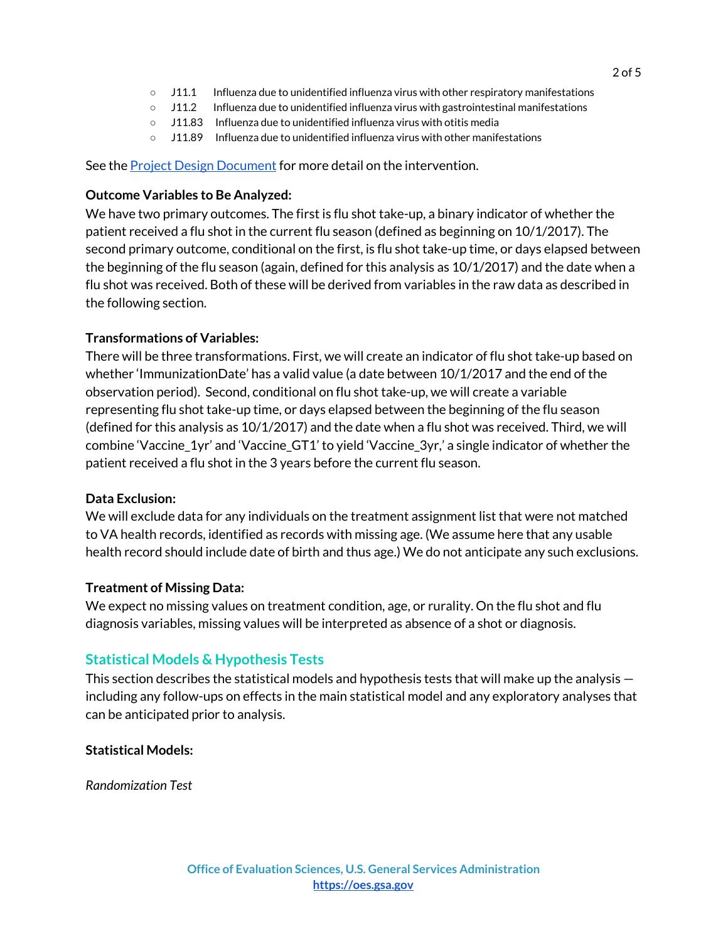- J11.1 Influenza due to unidentified influenza virus with other respiratory manifestations
- J11.2 Influenza due to unidentified influenza virus with gastrointestinal manifestations
- J11.83 Influenza due to unidentified influenza virus with otitis media
- $\circ$  J11.89 Influenza due to unidentified influenza virus with other manifestations

See the Project Design [Document](https://drive.google.com/open?id=1Javr_v3rYjrok25k3HTah-r9VkoxzKxb-9fWC4tB1r0) for more detail on the intervention.

#### **Outcome Variables to Be Analyzed:**

We have two primary outcomes. The first is flu shot take-up, a binary indicator of whether the patient received a flu shot in the current flu season (defined as beginning on 10/1/2017). The second primary outcome, conditional on the first, is flu shot take-up time, or days elapsed between the beginning of the flu season (again, defined for this analysis as 10/1/2017) and the date when a flu shot was received. Both of these will be derived from variables in the raw data as described in the following section.

#### **Transformations of Variables:**

There will be three transformations. First, we will create an indicator of flu shot take-up based on whether 'ImmunizationDate' has a valid value (a date between 10/1/2017 and the end of the observation period). Second, conditional on flu shot take-up, we will create a variable representing flu shot take-up time, or days elapsed between the beginning of the flu season (defined for this analysis as 10/1/2017) and the date when a flu shot was received. Third, we will combine 'Vaccine\_1yr' and 'Vaccine\_GT1' to yield 'Vaccine\_3yr,' a single indicator of whether the patient received a flu shot in the 3 years before the current flu season.

#### **Data Exclusion:**

We will exclude data for any individuals on the treatment assignment list that were not matched to VA health records, identified as records with missing age. (We assume here that any usable health record should include date of birth and thus age.) We do not anticipate any such exclusions.

#### **Treatment of Missing Data:**

We expect no missing values on treatment condition, age, or rurality. On the flu shot and flu diagnosis variables, missing values will be interpreted as absence of a shot or diagnosis.

## **Statistical Models & Hypothesis Tests**

This section describes the statistical models and hypothesis tests that will make up the analysis including any follow-ups on effects in the main statistical model and any exploratory analyses that can be anticipated prior to analysis.

#### **Statistical Models:**

*Randomization Test*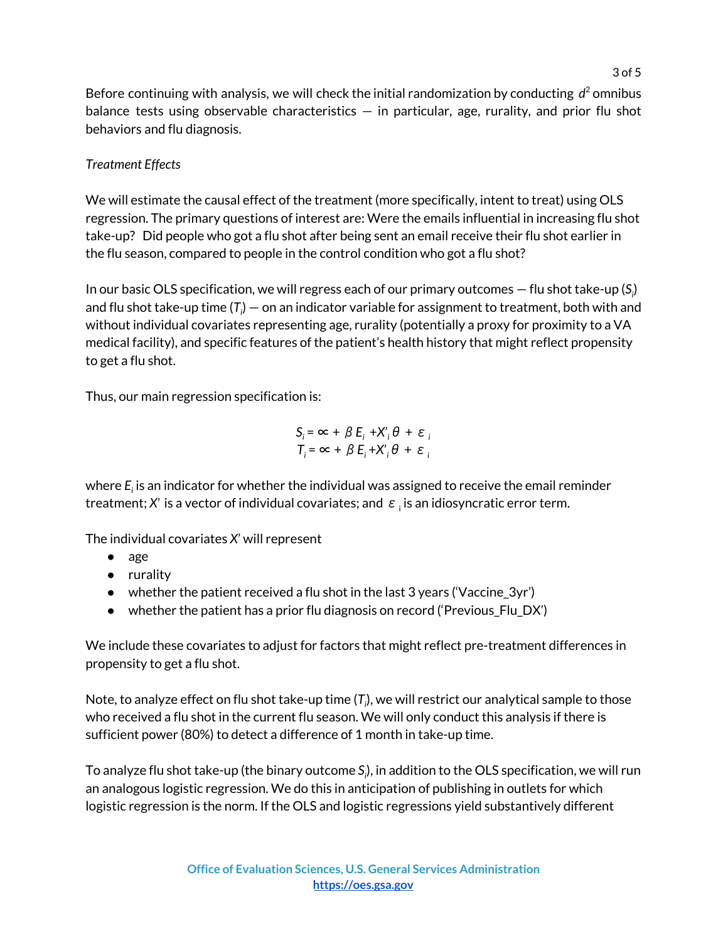Before continuing with analysis, we will check the initial randomization by conducting *d* <sup>2</sup> omnibus balance tests using observable characteristics  $-$  in particular, age, rurality, and prior flu shot behaviors and flu diagnosis.

# *Treatment Effects*

We will estimate the causal effect of the treatment (more specifically, intent to treat) using OLS regression. The primary questions of interest are: Were the emails influential in increasing flu shot take-up? Did people who got a flu shot after being sent an email receive their flu shot earlier in the flu season, compared to people in the control condition who got a flu shot?

In our basic OLS specification, we will regress each of our primary outcomes — flu shot take-up (*S<sup>i</sup>* ) and flu shot take-up time (T $_{\shortmid}$ ) — on an indicator variable for assignment to treatment, both with and without individual covariates representing age, rurality (potentially a proxy for proximity to a VA medical facility), and specific features of the patient's health history that might reflect propensity to get a flu shot.

Thus, our main regression specification is:

$$
S_i = \infty + \beta E_i + X_i' \theta + \varepsilon_i
$$
  

$$
T_i = \infty + \beta E_i + X_i' \theta + \varepsilon_i
$$

where *E<sup>i</sup>* is an indicator for whether the individual was assigned to receive the email reminder treatment;  $\mathsf{X}'$  is a vector of individual covariates; and  $\,\varepsilon\,$  <sub>i</sub> is an idiosyncratic error term.

The individual covariates *X*' will represent

- age
- rurality
- $\bullet$  whether the patient received a flu shot in the last 3 years ('Vaccine 3yr')
- whether the patient has a prior flu diagnosis on record ('Previous\_Flu\_DX')

We include these covariates to adjust for factors that might reflect pre-treatment differences in propensity to get a flu shot.

Note, to analyze effect on flu shot take-up time (*T<sup>i</sup>* ), we will restrict our analytical sample to those who received a flu shot in the current flu season. We will only conduct this analysis if there is sufficient power (80%) to detect a difference of 1 month in take-up time.

To analyze flu shot take-up (the binary outcome *S<sup>i</sup>* ), in addition to the OLS specification, we will run an analogous logistic regression. We do this in anticipation of publishing in outlets for which logistic regression is the norm. If the OLS and logistic regressions yield substantively different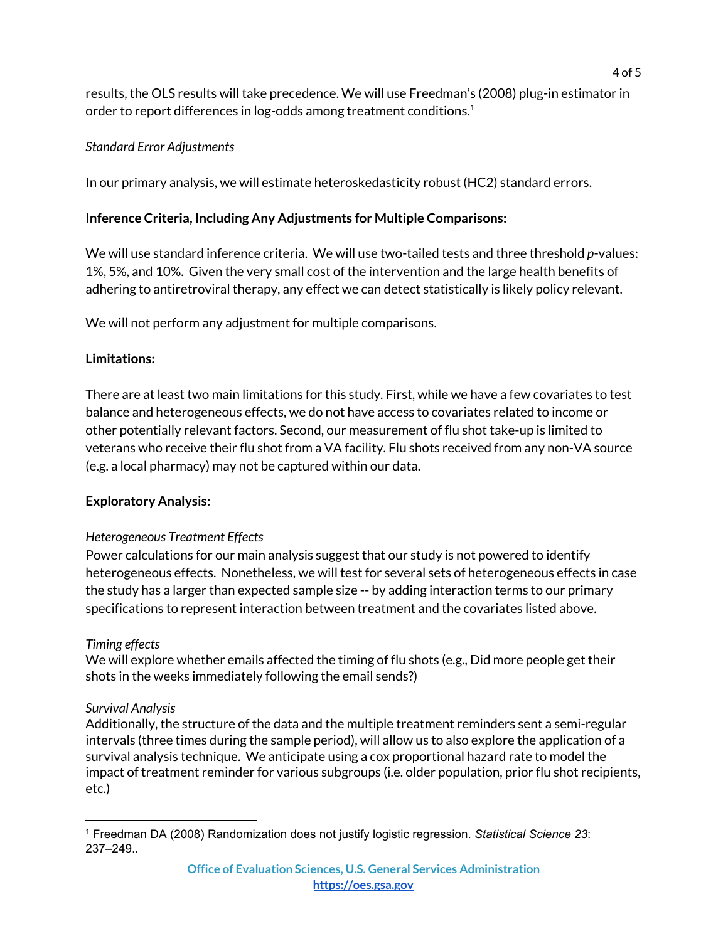results, the OLS results will take precedence. We will use Freedman's (2008) plug-in estimator in order to report differences in log-odds among treatment conditions. $^{\rm 1}$ 

## *Standard Error Adjustments*

In our primary analysis, we will estimate heteroskedasticity robust (HC2) standard errors.

## **Inference Criteria, Including Any Adjustments for Multiple Comparisons:**

We will use standard inference criteria. We will use two-tailed tests and three threshold *p*-values: 1%, 5%, and 10%. Given the very small cost of the intervention and the large health benefits of adhering to antiretroviral therapy, any effect we can detect statistically is likely policy relevant.

We will not perform any adjustment for multiple comparisons.

# **Limitations:**

There are at least two main limitations for this study. First, while we have a few covariates to test balance and heterogeneous effects, we do not have access to covariates related to income or other potentially relevant factors. Second, our measurement of flu shot take-up is limited to veterans who receive their flu shot from a VA facility. Flu shots received from any non-VA source (e.g. a local pharmacy) may not be captured within our data.

## **Exploratory Analysis:**

## *Heterogeneous Treatment Effects*

Power calculations for our main analysis suggest that our study is not powered to identify heterogeneous effects. Nonetheless, we will test for several sets of heterogeneous effects in case the study has a larger than expected sample size -- by adding interaction terms to our primary specifications to represent interaction between treatment and the covariates listed above.

## *Timing effects*

We will explore whether emails affected the timing of flu shots (e.g., Did more people get their shots in the weeks immediately following the email sends?)

## *Survival Analysis*

Additionally, the structure of the data and the multiple treatment reminders sent a semi-regular intervals (three times during the sample period), will allow us to also explore the application of a survival analysis technique. We anticipate using a cox proportional hazard rate to model the impact of treatment reminder for various subgroups (i.e. older population, prior flu shot recipients, etc.)

<sup>1</sup> Freedman DA (2008) Randomization does not justify logistic regression. *Statistical Science 23*: 237–249..